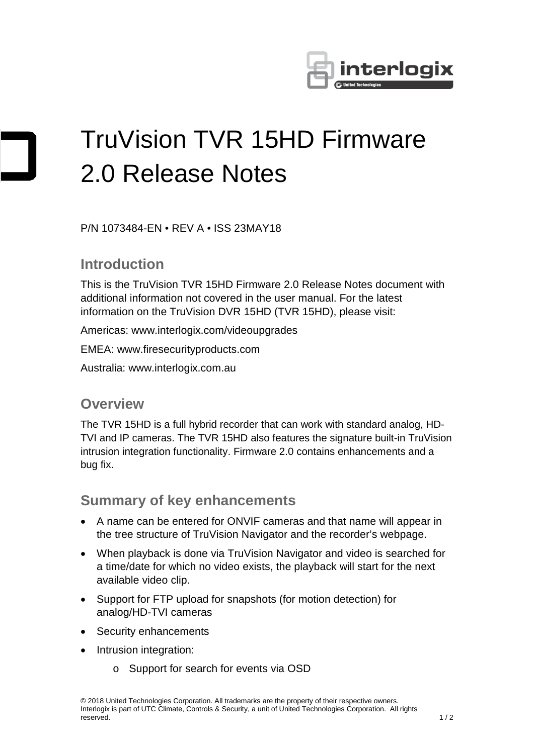

# TruVision TVR 15HD Firmware 2.0 Release Notes

P/N 1073484-EN • REV A • ISS 23MAY18

### **Introduction**

This is the TruVision TVR 15HD Firmware 2.0 Release Notes document with additional information not covered in the user manual. For the latest information on the TruVision DVR 15HD (TVR 15HD), please visit:

Americas: [www.interlogix.com/videoupgrades](http://www.interlogix.com/videoupgrades)

EMEA: www.firesecurityproducts.com

Australia: [www.interlogix.com.au](http://www.interlogix.com.au/)

#### **Overview**

The TVR 15HD is a full hybrid recorder that can work with standard analog, HD-TVI and IP cameras. The TVR 15HD also features the signature built-in TruVision intrusion integration functionality. Firmware 2.0 contains enhancements and a bug fix.

#### **Summary of key enhancements**

- A name can be entered for ONVIF cameras and that name will appear in the tree structure of TruVision Navigator and the recorder's webpage.
- When playback is done via TruVision Navigator and video is searched for a time/date for which no video exists, the playback will start for the next available video clip.
- Support for FTP upload for snapshots (for motion detection) for analog/HD-TVI cameras
- Security enhancements
- Intrusion integration:
	- o Support for search for events via OSD